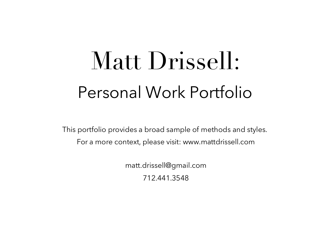# Matt Drissell: Personal Work Portfolio

This portfolio provides a broad sample of methods and styles. For a more context, please visit: www.mattdrissell.com

> matt.drissell@gmail.com 712.441.3548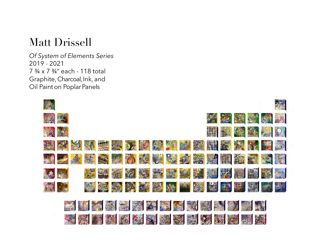*Of System of Elements Series* 2019 - 2021 7 ¾ x 7 ¾" each - 118 total Graphite, Charcoal, Ink, and Oil Paint on Poplar Panels

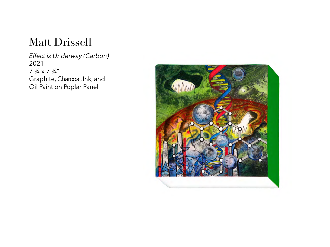*Effect is Underway (Carbon)* 2021  $7 \frac{3}{4} \times 7 \frac{3}{4}$ " Graphite, Charcoal, Ink, and Oil Paint on Poplar Panel

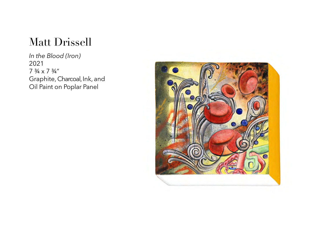*In the Blood (Iron)* 2021 7  $\frac{3}{4} \times 7$   $\frac{3}{4}$ " Graphite, Charcoal, Ink, and Oil Paint on Poplar Panel

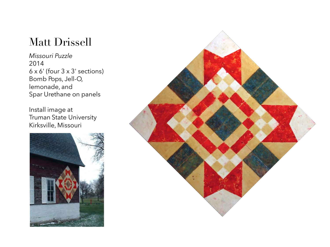*Missouri Puzzle* 2014 6 x 6' (four 3 x 3' sections) Bomb Pops, Jell-O, lemonade, and Spar Urethane on panels

Install image at Truman State University Kirksville, Missouri



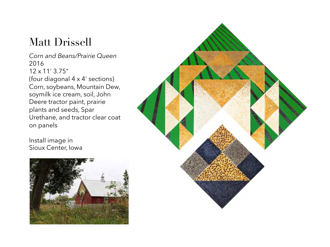*Corn and Beans/Prairie Queen* 2016 12 x 11' 3.75" (four diagonal 4 x 4' sections) Corn, soybeans, Mountain Dew, soymilk ice cream, soil, John Deere tractor paint, prairie plants and seeds, Spar Urethane, and tractor clear coat on panels

Install image in Sioux Center, Iowa



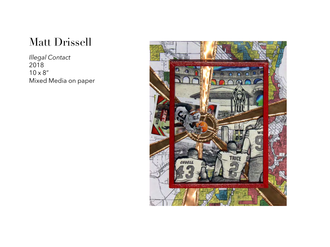*Illegal Contact* 2018  $10 \times 8$ " Mixed Media on paper

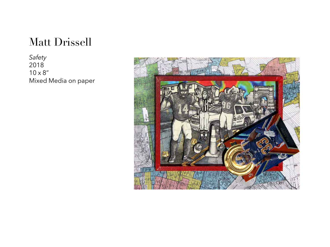*Safety* 2018  $10 \times 8$ " Mixed Media on paper

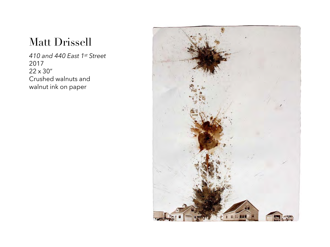*410 and 440 East 1st Street* 2017 22 x 30" Crushed walnuts and walnut ink on paper

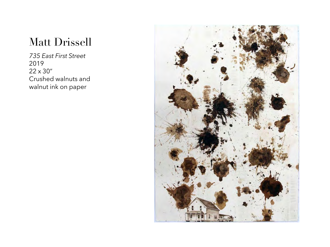*735 East First Street* 2019 22 x 30" Crushed walnuts and walnut ink on paper